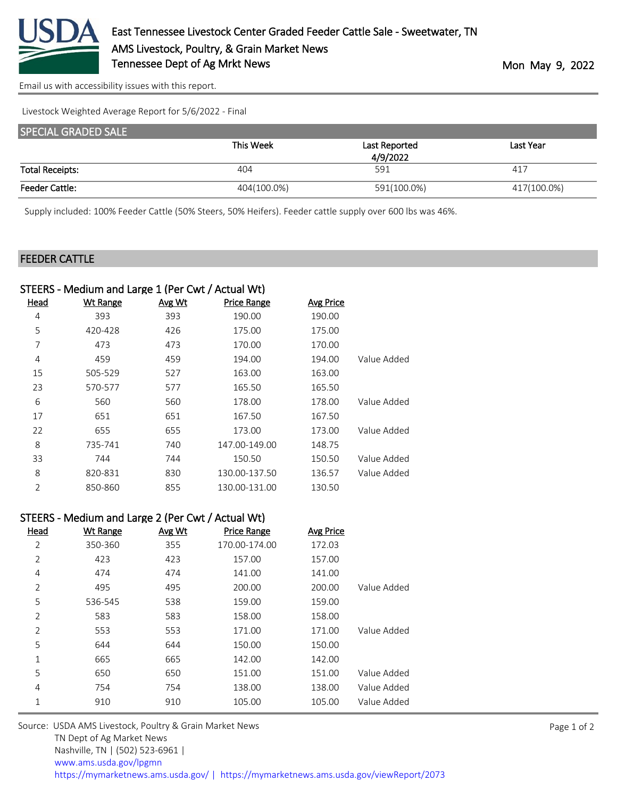

[Email us with accessibility issues with this report.](mailto:mars@ams.usda.gov?subject=508%20issue)

Livestock Weighted Average Report for 5/6/2022 - Final

| <b>SPECIAL GRADED SALE</b> |             |               |             |
|----------------------------|-------------|---------------|-------------|
|                            | This Week   | Last Reported | Last Year   |
|                            |             | 4/9/2022      |             |
| <b>Total Receipts:</b>     | 404         | 591           | 417         |
| <b>Feeder Cattle:</b>      | 404(100.0%) | 591(100.0%)   | 417(100.0%) |

Supply included: 100% Feeder Cattle (50% Steers, 50% Heifers). Feeder cattle supply over 600 lbs was 46%.

## FEEDER CATTLE

|      | STEERS - Medium and Large 1 (Per Cwt / Actual Wt) |        |                    |                  |             |
|------|---------------------------------------------------|--------|--------------------|------------------|-------------|
| Head | <b>Wt Range</b>                                   | Avg Wt | <b>Price Range</b> | <b>Avg Price</b> |             |
| 4    | 393                                               | 393    | 190.00             | 190.00           |             |
| 5    | 420-428                                           | 426    | 175.00             | 175.00           |             |
| 7    | 473                                               | 473    | 170.00             | 170.00           |             |
| 4    | 459                                               | 459    | 194.00             | 194.00           | Value Added |
| 15   | 505-529                                           | 527    | 163.00             | 163.00           |             |
| 23   | 570-577                                           | 577    | 165.50             | 165.50           |             |
| 6    | 560                                               | 560    | 178.00             | 178.00           | Value Added |
| 17   | 651                                               | 651    | 167.50             | 167.50           |             |
| 22   | 655                                               | 655    | 173.00             | 173.00           | Value Added |
| 8    | 735-741                                           | 740    | 147.00-149.00      | 148.75           |             |
| 33   | 744                                               | 744    | 150.50             | 150.50           | Value Added |
| 8    | 820-831                                           | 830    | 130.00-137.50      | 136.57           | Value Added |
| 2    | 850-860                                           | 855    | 130.00-131.00      | 130.50           |             |
|      |                                                   |        |                    |                  |             |

## STEERS - Medium and Large 2 (Per Cwt / Actual Wt)

| Head           | <b>Wt Range</b> | Avg Wt | <b>Price Range</b> | <b>Avg Price</b> |             |
|----------------|-----------------|--------|--------------------|------------------|-------------|
| 2              | 350-360         | 355    | 170.00-174.00      | 172.03           |             |
| 2              | 423             | 423    | 157.00             | 157.00           |             |
| 4              | 474             | 474    | 141.00             | 141.00           |             |
| 2              | 495             | 495    | 200.00             | 200.00           | Value Added |
| 5              | 536-545         | 538    | 159.00             | 159.00           |             |
| $\overline{2}$ | 583             | 583    | 158.00             | 158.00           |             |
| $\overline{2}$ | 553             | 553    | 171.00             | 171.00           | Value Added |
| 5              | 644             | 644    | 150.00             | 150.00           |             |
| 1              | 665             | 665    | 142.00             | 142.00           |             |
| 5              | 650             | 650    | 151.00             | 151.00           | Value Added |
| 4              | 754             | 754    | 138.00             | 138.00           | Value Added |
| 1              | 910             | 910    | 105.00             | 105.00           | Value Added |
|                |                 |        |                    |                  |             |

Source: USDA AMS Livestock, Poultry & Grain Market News TN Dept of Ag Market News Nashville, TN | (502) 523-6961 | [www.ams.usda.gov/lpgmn](https://www.ams.usda.gov/market-news) <https://mymarketnews.ams.usda.gov/> [|](https://www.ams.usda.gov/market-news) <https://mymarketnews.ams.usda.gov/viewReport/2073>